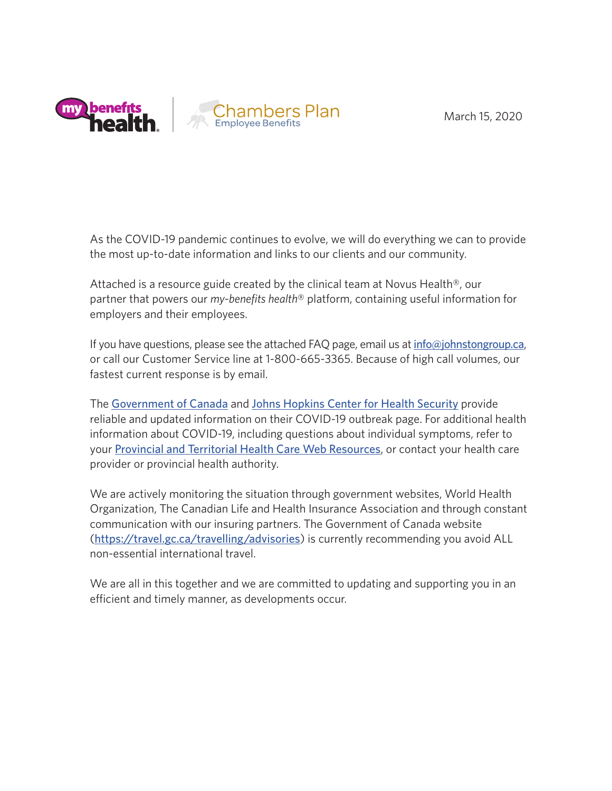March 15, 2020



As the COVID-19 pandemic continues to evolve, we will do everything we can to provide the most up-to-date information and links to our clients and our community.

Attached is a resource guide created by the clinical team at Novus Health®, our partner that powers our *my-benefits health*® platform, containing useful information for employers and their employees.

If you have questions, please see the attached FAQ page, email us at  $info@iohnstongroup.ca$ , or call our Customer Service line at 1-800-665-3365. Because of high call volumes, our fastest current response is by email.

The [Government of Canada](https://www.canada.ca/en/public-health/services/diseases/2019-novel-coronavirus-infection.html) and [Johns Hopkins Center for Health Security](http://www.centerforhealthsecurity.org/resources/COVID-19/) provide reliable and updated information on their COVID-19 outbreak page. For additional health information about COVID-19, including questions about individual symptoms, refer to your [Provincial and Territorial Health Care Web Resources](https://www.canada.ca/en/health-canada/services/health-care-system/canada-health-care-system-medicare/provincial-territorial-health-care-resources.html), or contact your health care provider or provincial health authority.

We are actively monitoring the situation through government websites, World Health Organization, The Canadian Life and Health Insurance Association and through constant communication with our insuring partners. The Government of Canada website (<https://travel.gc.ca/travelling/advisories>) is currently recommending you avoid ALL non-essential international travel.

We are all in this together and we are committed to updating and supporting you in an efficient and timely manner, as developments occur.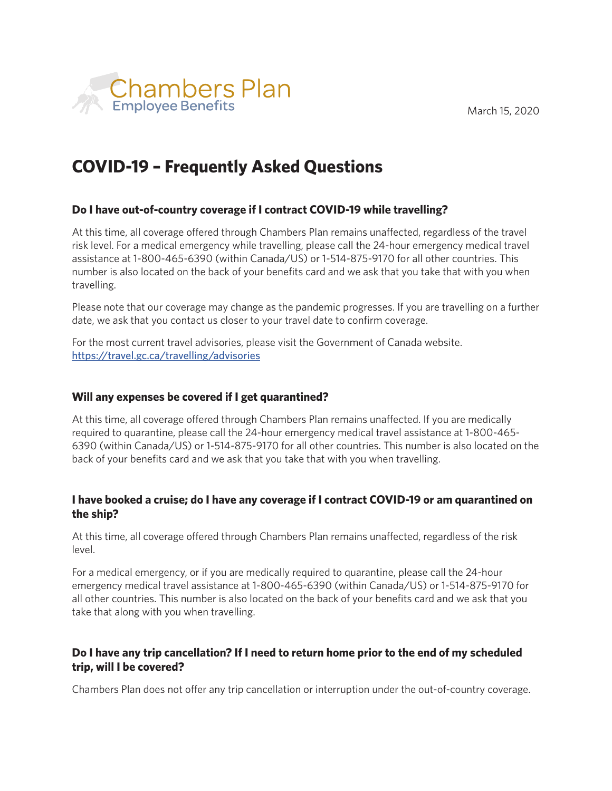

# **COVID-19 – Frequently Asked Questions**

## **Do I have out-of-country coverage if I contract COVID-19 while travelling?**

At this time, all coverage offered through Chambers Plan remains unaffected, regardless of the travel risk level. For a medical emergency while travelling, please call the 24-hour emergency medical travel assistance at 1-800-465-6390 (within Canada/US) or 1-514-875-9170 for all other countries. This number is also located on the back of your benefits card and we ask that you take that with you when travelling.

Please note that our coverage may change as the pandemic progresses. If you are travelling on a further date, we ask that you contact us closer to your travel date to confirm coverage.

For the most current travel advisories, please visit the Government of Canada website. <https://travel.gc.ca/travelling/advisories>

### **Will any expenses be covered if I get quarantined?**

At this time, all coverage offered through Chambers Plan remains unaffected. If you are medically required to quarantine, please call the 24-hour emergency medical travel assistance at 1-800-465- 6390 (within Canada/US) or 1-514-875-9170 for all other countries. This number is also located on the back of your benefits card and we ask that you take that with you when travelling.

### **I have booked a cruise; do I have any coverage if I contract COVID-19 or am quarantined on the ship?**

At this time, all coverage offered through Chambers Plan remains unaffected, regardless of the risk level.

For a medical emergency, or if you are medically required to quarantine, please call the 24-hour emergency medical travel assistance at 1-800-465-6390 (within Canada/US) or 1-514-875-9170 for all other countries. This number is also located on the back of your benefits card and we ask that you take that along with you when travelling.

## **Do I have any trip cancellation? If I need to return home prior to the end of my scheduled trip, will I be covered?**

Chambers Plan does not offer any trip cancellation or interruption under the out-of-country coverage.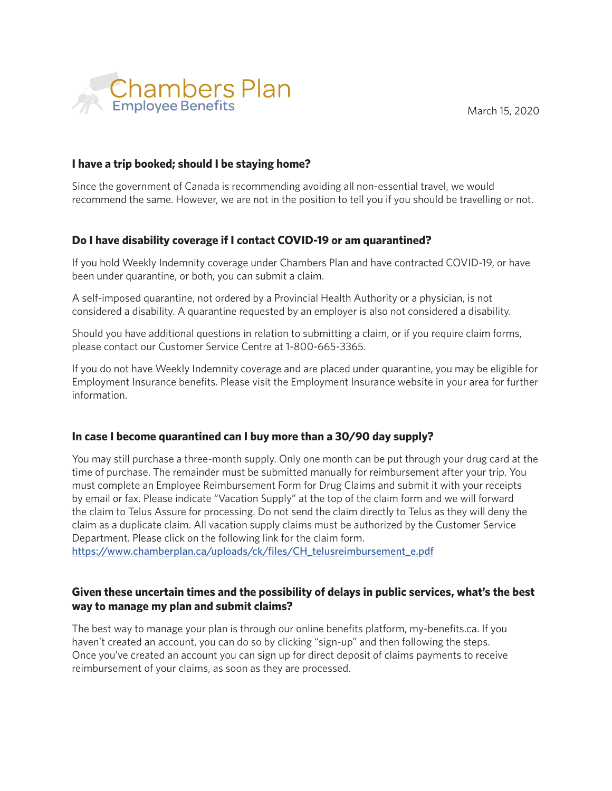

### **I have a trip booked; should I be staying home?**

Since the government of Canada is recommending avoiding all non-essential travel, we would recommend the same. However, we are not in the position to tell you if you should be travelling or not.

### **Do I have disability coverage if I contact COVID-19 or am quarantined?**

If you hold Weekly Indemnity coverage under Chambers Plan and have contracted COVID-19, or have been under quarantine, or both, you can submit a claim.

A self-imposed quarantine, not ordered by a Provincial Health Authority or a physician, is not considered a disability. A quarantine requested by an employer is also not considered a disability.

Should you have additional questions in relation to submitting a claim, or if you require claim forms, please contact our Customer Service Centre at 1-800-665-3365.

If you do not have Weekly Indemnity coverage and are placed under quarantine, you may be eligible for Employment Insurance benefits. Please visit the Employment Insurance website in your area for further information.

#### **In case I become quarantined can I buy more than a 30/90 day supply?**

You may still purchase a three-month supply. Only one month can be put through your drug card at the time of purchase. The remainder must be submitted manually for reimbursement after your trip. You must complete an Employee Reimbursement Form for Drug Claims and submit it with your receipts by email or fax. Please indicate "Vacation Supply" at the top of the claim form and we will forward the claim to Telus Assure for processing. Do not send the claim directly to Telus as they will deny the claim as a duplicate claim. All vacation supply claims must be authorized by the Customer Service Department. Please click on the following link for the claim form.

[https://www.chamberplan.ca/uploads/ck/files/CH\\_telusreimbursement\\_e.pdf](https://www.chamberplan.ca/uploads/ck/files/CH_telusreimbursement_e.pdf)

### **Given these uncertain times and the possibility of delays in public services, what's the best way to manage my plan and submit claims?**

The best way to manage your plan is through our online benefits platform, my-benefits.ca. If you haven't created an account, you can do so by clicking "sign-up" and then following the steps. Once you've created an account you can sign up for direct deposit of claims payments to receive reimbursement of your claims, as soon as they are processed.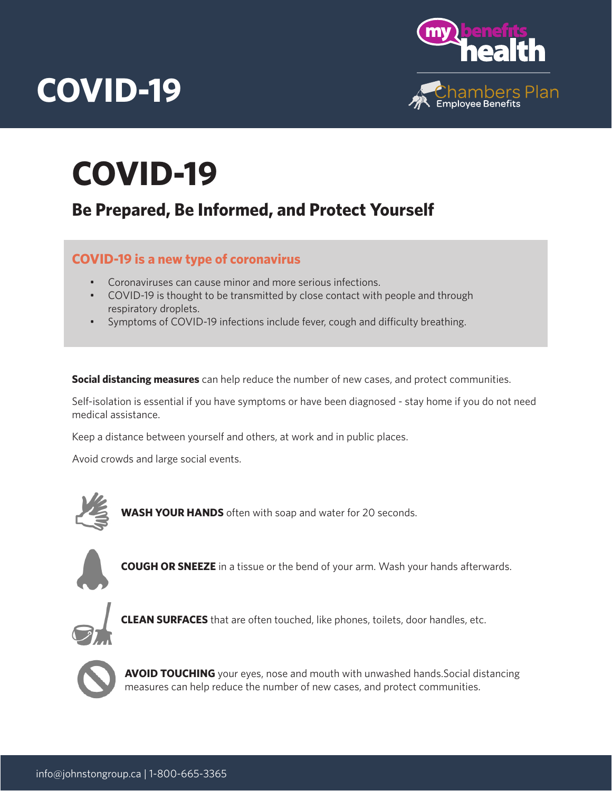

# **COVID-19**

# **Be Prepared, Be Informed, and Protect Yourself**

## **COVID-19 is a new type of coronavirus**

- Coronaviruses can cause minor and more serious infections.
- COVID-19 is thought to be transmitted by close contact with people and through respiratory droplets.
- Symptoms of COVID-19 infections include fever, cough and difficulty breathing.

**Social distancing measures** can help reduce the number of new cases, and protect communities.

Self-isolation is essential if you have symptoms or have been diagnosed - stay home if you do not need medical assistance.

Keep a distance between yourself and others, at work and in public places.

Avoid crowds and large social events.



**WASH YOUR HANDS** often with soap and water for 20 seconds.



**COUGH OR SNEEZE** in a tissue or the bend of your arm. Wash your hands afterwards.



**CLEAN SURFACES** that are often touched, like phones, toilets, door handles, etc.



**AVOID TOUCHING** your eyes, nose and mouth with unwashed hands. Social distancing measures can help reduce the number of new cases, and protect communities.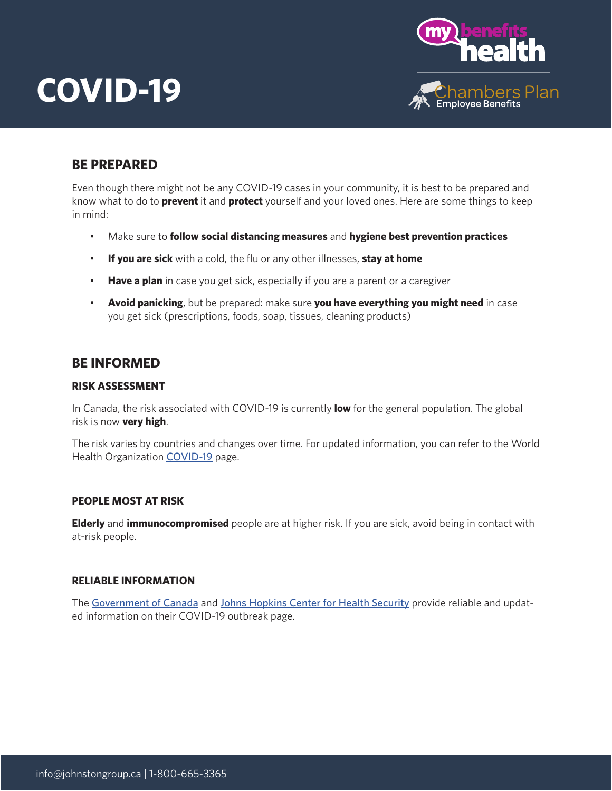

## **BE PREPARED**

Even though there might not be any COVID-19 cases in your community, it is best to be prepared and know what to do to **prevent** it and **protect** yourself and your loved ones. Here are some things to keep in mind:

- Make sure to **follow social distancing measures** and **hygiene best prevention practices**
- **If you are sick** with a cold, the flu or any other illnesses, **stay at home**
- **Have a plan** in case you get sick, especially if you are a parent or a caregiver
- **Avoid panicking**, but be prepared: make sure **you have everything you might need** in case you get sick (prescriptions, foods, soap, tissues, cleaning products)

## **BE INFORMED**

#### **RISK ASSESSMENT**

In Canada, the risk associated with COVID-19 is currently **low** for the general population. The global risk is now **very high**.

The risk varies by countries and changes over time. For updated information, you can refer to the World Health Organization [COVID-19](https://www.who.int/emergencies/diseases/novel-coronavirus-2019) page.

#### **PEOPLE MOST AT RISK**

**Elderly** and **immunocompromised** people are at higher risk. If you are sick, avoid being in contact with at-risk people.

#### **RELIABLE INFORMATION**

The [Government of Canada](https://www.canada.ca/en/public-health/services/diseases/2019-novel-coronavirus-infection.html) and [Johns Hopkins Center for Health Security](http://www.centerforhealthsecurity.org/resources/COVID-19/) provide reliable and updated information on their COVID-19 outbreak page.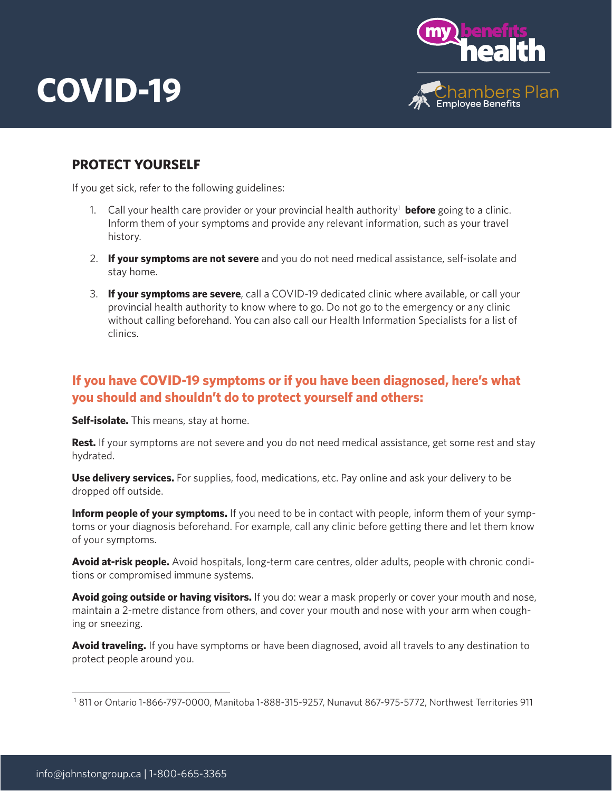

## **PROTECT YOURSELF**

If you get sick, refer to the following guidelines:

- 1. Call your health care provider or your provincial health authority<sup>1</sup> before going to a clinic. Inform them of your symptoms and provide any relevant information, such as your travel history.
- 2. **If your symptoms are not severe** and you do not need medical assistance, self-isolate and stay home.
- 3. **If your symptoms are severe**, call a COVID-19 dedicated clinic where available, or call your provincial health authority to know where to go. Do not go to the emergency or any clinic without calling beforehand. You can also call our Health Information Specialists for a list of clinics.

# **If you have COVID-19 symptoms or if you have been diagnosed, here's what you should and shouldn't do to protect yourself and others:**

**Self-isolate.** This means, stay at home.

**Rest.** If your symptoms are not severe and you do not need medical assistance, get some rest and stay hydrated.

**Use delivery services.** For supplies, food, medications, etc. Pay online and ask your delivery to be dropped off outside.

**Inform people of your symptoms.** If you need to be in contact with people, inform them of your symptoms or your diagnosis beforehand. For example, call any clinic before getting there and let them know of your symptoms.

**Avoid at-risk people.** Avoid hospitals, long-term care centres, older adults, people with chronic conditions or compromised immune systems.

**Avoid going outside or having visitors.** If you do: wear a mask properly or cover your mouth and nose, maintain a 2-metre distance from others, and cover your mouth and nose with your arm when coughing or sneezing.

**Avoid traveling.** If you have symptoms or have been diagnosed, avoid all travels to any destination to protect people around you.

<sup>1 811</sup> or Ontario 1-866-797-0000, Manitoba 1-888-315-9257, Nunavut 867-975-5772, Northwest Territories 911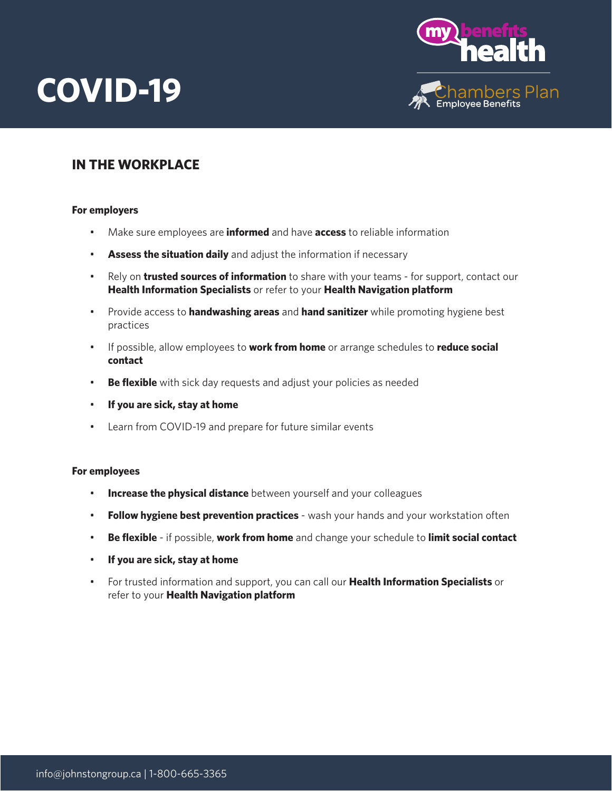

## **IN THE WORKPLACE**

#### **For employers**

- Make sure employees are **informed** and have **access** to reliable information
- **Assess the situation daily** and adjust the information if necessary
- Rely on **trusted sources of information** to share with your teams for support, contact our **Health Information Specialists** or refer to your **Health Navigation platform**
- Provide access to **handwashing areas** and **hand sanitizer** while promoting hygiene best practices
- If possible, allow employees to **work from home** or arrange schedules to **reduce social contact**
- **Be flexible** with sick day requests and adjust your policies as needed
- **If you are sick, stay at home**
- Learn from COVID-19 and prepare for future similar events

#### **For employees**

- **Increase the physical distance** between yourself and your colleagues
- **Follow hygiene best prevention practices** wash your hands and your workstation often
- **Be flexible** if possible, **work from home** and change your schedule to **limit social contact**
- **If you are sick, stay at home**
- For trusted information and support, you can call our **Health Information Specialists** or refer to your **Health Navigation platform**